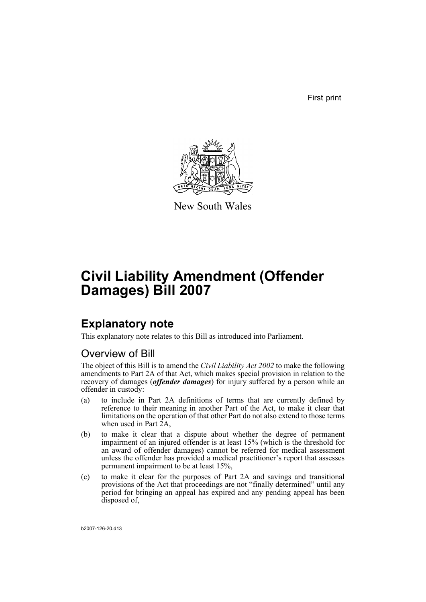First print



New South Wales

# **Civil Liability Amendment (Offender Damages) Bill 2007**

## **Explanatory note**

This explanatory note relates to this Bill as introduced into Parliament.

### Overview of Bill

The object of this Bill is to amend the *Civil Liability Act 2002* to make the following amendments to Part 2A of that Act, which makes special provision in relation to the recovery of damages (*offender damages*) for injury suffered by a person while an offender in custody:

- (a) to include in Part 2A definitions of terms that are currently defined by reference to their meaning in another Part of the Act, to make it clear that limitations on the operation of that other Part do not also extend to those terms when used in Part  $2A$ ,
- (b) to make it clear that a dispute about whether the degree of permanent impairment of an injured offender is at least 15% (which is the threshold for an award of offender damages) cannot be referred for medical assessment unless the offender has provided a medical practitioner's report that assesses permanent impairment to be at least 15%,
- (c) to make it clear for the purposes of Part 2A and savings and transitional provisions of the Act that proceedings are not "finally determined" until any period for bringing an appeal has expired and any pending appeal has been disposed of,

b2007-126-20.d13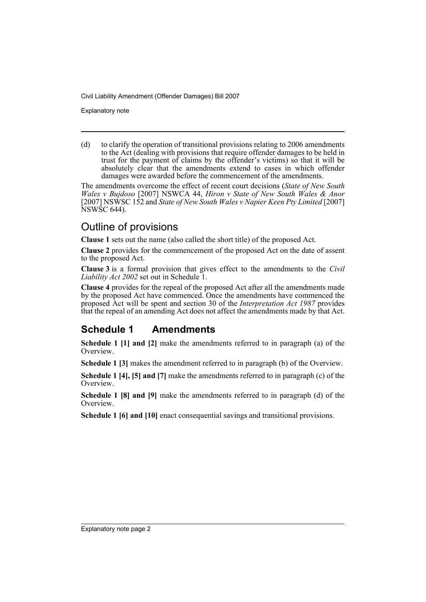Explanatory note

(d) to clarify the operation of transitional provisions relating to 2006 amendments to the Act (dealing with provisions that require offender damages to be held in trust for the payment of claims by the offender's victims) so that it will be absolutely clear that the amendments extend to cases in which offender damages were awarded before the commencement of the amendments.

The amendments overcome the effect of recent court decisions (*State of New South Wales v Bujdoso* [2007] NSWCA 44, *Hiron v State of New South Wales & Anor* [2007] NSWSC 152 and *State of New South Wales v Napier Keen Pty Limited* [2007] NSWSC 644).

#### Outline of provisions

**Clause 1** sets out the name (also called the short title) of the proposed Act.

**Clause 2** provides for the commencement of the proposed Act on the date of assent to the proposed Act.

**Clause 3** is a formal provision that gives effect to the amendments to the *Civil Liability Act 2002* set out in Schedule 1.

**Clause 4** provides for the repeal of the proposed Act after all the amendments made by the proposed Act have commenced. Once the amendments have commenced the proposed Act will be spent and section 30 of the *Interpretation Act 1987* provides that the repeal of an amending Act does not affect the amendments made by that Act.

### **Schedule 1 Amendments**

**Schedule 1 [1] and [2]** make the amendments referred to in paragraph (a) of the Overview.

**Schedule 1 [3]** makes the amendment referred to in paragraph (b) of the Overview.

**Schedule 1 [4], [5] and [7]** make the amendments referred to in paragraph (c) of the Overview.

**Schedule 1 [8] and [9]** make the amendments referred to in paragraph (d) of the Overview.

**Schedule 1 [6] and [10]** enact consequential savings and transitional provisions.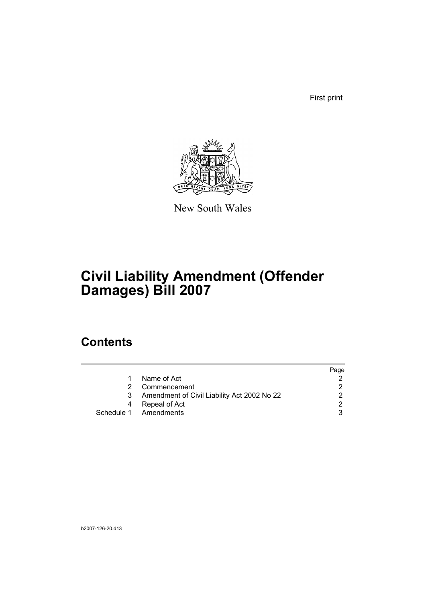First print



New South Wales

# **Civil Liability Amendment (Offender Damages) Bill 2007**

## **Contents**

|    |                                             | Page |
|----|---------------------------------------------|------|
| 1. | Name of Act                                 |      |
| 2. | Commencement                                |      |
| 3  | Amendment of Civil Liability Act 2002 No 22 | ◠    |
| 4  | Repeal of Act                               |      |
|    | Schedule 1 Amendments                       |      |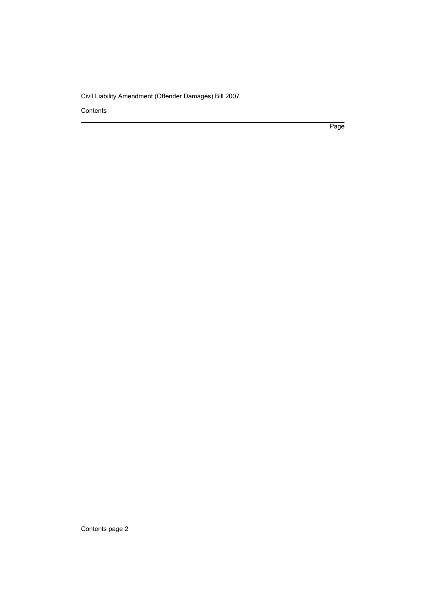Contents

Page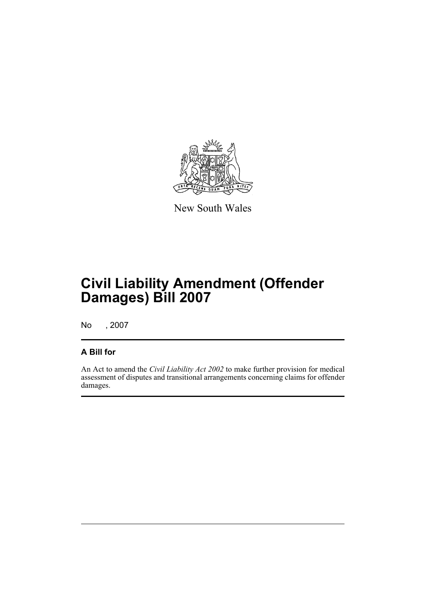

New South Wales

## **Civil Liability Amendment (Offender Damages) Bill 2007**

No , 2007

#### **A Bill for**

An Act to amend the *Civil Liability Act 2002* to make further provision for medical assessment of disputes and transitional arrangements concerning claims for offender damages.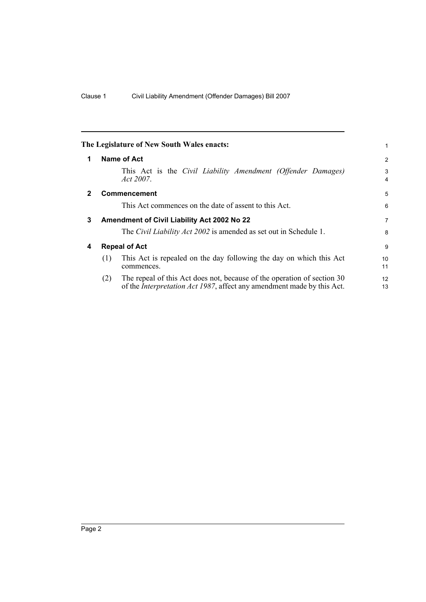<span id="page-5-3"></span><span id="page-5-2"></span><span id="page-5-1"></span><span id="page-5-0"></span>

|              |     | The Legislature of New South Wales enacts:                                                                                                                | 1                   |
|--------------|-----|-----------------------------------------------------------------------------------------------------------------------------------------------------------|---------------------|
| 1            |     | Name of Act                                                                                                                                               | $\overline{2}$      |
|              |     | This Act is the Civil Liability Amendment (Offender Damages)<br>Act 2007.                                                                                 | 3<br>$\overline{4}$ |
| $\mathbf{2}$ |     | <b>Commencement</b>                                                                                                                                       | 5                   |
|              |     | This Act commences on the date of assent to this Act.                                                                                                     | 6                   |
| 3            |     | Amendment of Civil Liability Act 2002 No 22                                                                                                               | $\overline{7}$      |
|              |     | The Civil Liability Act 2002 is amended as set out in Schedule 1.                                                                                         | 8                   |
| 4            |     | <b>Repeal of Act</b>                                                                                                                                      | 9                   |
|              | (1) | This Act is repealed on the day following the day on which this Act<br>commences.                                                                         | 10<br>11            |
|              | (2) | The repeal of this Act does not, because of the operation of section 30<br>of the <i>Interpretation Act 1987</i> , affect any amendment made by this Act. | 12<br>13            |
|              |     |                                                                                                                                                           |                     |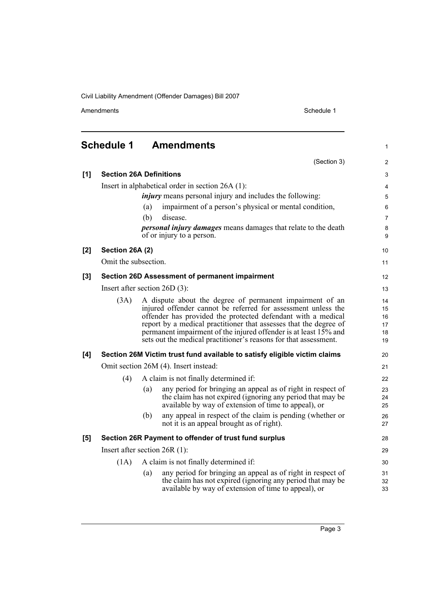Amendments Schedule 1

<span id="page-6-0"></span>

|       | <b>Schedule 1</b>                                |     | <b>Amendments</b>                                                                                                                                                                 | 1              |
|-------|--------------------------------------------------|-----|-----------------------------------------------------------------------------------------------------------------------------------------------------------------------------------|----------------|
|       |                                                  |     | (Section 3)                                                                                                                                                                       | 2              |
| [1]   | <b>Section 26A Definitions</b>                   |     |                                                                                                                                                                                   | 3              |
|       | Insert in alphabetical order in section 26A (1): |     |                                                                                                                                                                                   | 4              |
|       |                                                  |     | <i>injury</i> means personal injury and includes the following:                                                                                                                   | 5              |
|       |                                                  | (a) | impairment of a person's physical or mental condition,                                                                                                                            | 6              |
|       |                                                  | (b) | disease.                                                                                                                                                                          | 7              |
|       |                                                  |     | <i>personal injury damages</i> means damages that relate to the death<br>of or injury to a person.                                                                                | 8<br>9         |
| [2]   | Section 26A (2)                                  |     |                                                                                                                                                                                   | 10             |
|       | Omit the subsection.                             |     |                                                                                                                                                                                   | 11             |
| $[3]$ |                                                  |     | Section 26D Assessment of permanent impairment                                                                                                                                    | 12             |
|       | Insert after section $26D(3)$ :                  |     |                                                                                                                                                                                   | 13             |
|       | (3A)                                             |     | A dispute about the degree of permanent impairment of an                                                                                                                          | 14             |
|       |                                                  |     | injured offender cannot be referred for assessment unless the<br>offender has provided the protected defendant with a medical                                                     | 15<br>16       |
|       |                                                  |     | report by a medical practitioner that assesses that the degree of                                                                                                                 | 17             |
|       |                                                  |     | permanent impairment of the injured offender is at least 15% and<br>sets out the medical practitioner's reasons for that assessment.                                              | 18<br>19       |
| [4]   |                                                  |     | Section 26M Victim trust fund available to satisfy eligible victim claims                                                                                                         | 20             |
|       |                                                  |     | Omit section 26M (4). Insert instead:                                                                                                                                             | 21             |
|       | (4)                                              |     | A claim is not finally determined if:                                                                                                                                             | 22             |
|       |                                                  | (a) | any period for bringing an appeal as of right in respect of                                                                                                                       | 23             |
|       |                                                  |     | the claim has not expired (ignoring any period that may be<br>available by way of extension of time to appeal), or                                                                | 24<br>25       |
|       |                                                  | (b) | any appeal in respect of the claim is pending (whether or<br>not it is an appeal brought as of right).                                                                            | 26<br>27       |
| [5]   |                                                  |     | Section 26R Payment to offender of trust fund surplus                                                                                                                             | 28             |
|       | Insert after section $26R(1)$ :                  |     |                                                                                                                                                                                   | 29             |
|       | A claim is not finally determined if:<br>(1A)    |     |                                                                                                                                                                                   | 30             |
|       |                                                  | (a) | any period for bringing an appeal as of right in respect of<br>the claim has not expired (ignoring any period that may be<br>available by way of extension of time to appeal), or | 31<br>32<br>33 |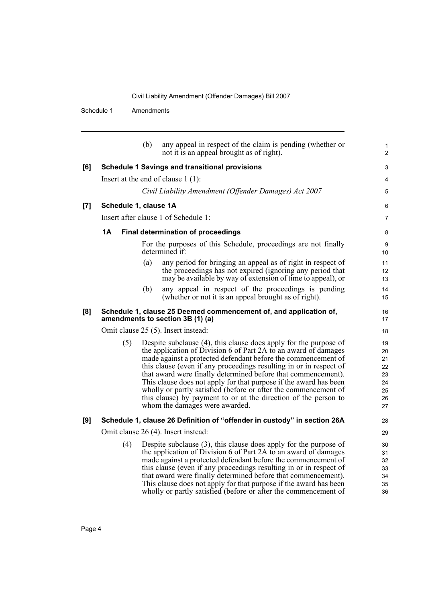Schedule 1 Amendments

|       | any appeal in respect of the claim is pending (whether or<br>(b)<br>not it is an appeal brought as of right).                                                                                                                                                                                                                                                                                                                                                                                                                                                                                   |  |  |
|-------|-------------------------------------------------------------------------------------------------------------------------------------------------------------------------------------------------------------------------------------------------------------------------------------------------------------------------------------------------------------------------------------------------------------------------------------------------------------------------------------------------------------------------------------------------------------------------------------------------|--|--|
| [6]   | <b>Schedule 1 Savings and transitional provisions</b>                                                                                                                                                                                                                                                                                                                                                                                                                                                                                                                                           |  |  |
|       | Insert at the end of clause $1(1)$ :                                                                                                                                                                                                                                                                                                                                                                                                                                                                                                                                                            |  |  |
|       | Civil Liability Amendment (Offender Damages) Act 2007                                                                                                                                                                                                                                                                                                                                                                                                                                                                                                                                           |  |  |
| $[7]$ | Schedule 1, clause 1A                                                                                                                                                                                                                                                                                                                                                                                                                                                                                                                                                                           |  |  |
|       | Insert after clause 1 of Schedule 1:                                                                                                                                                                                                                                                                                                                                                                                                                                                                                                                                                            |  |  |
|       | 1Α<br><b>Final determination of proceedings</b>                                                                                                                                                                                                                                                                                                                                                                                                                                                                                                                                                 |  |  |
|       | For the purposes of this Schedule, proceedings are not finally<br>determined if:                                                                                                                                                                                                                                                                                                                                                                                                                                                                                                                |  |  |
|       | any period for bringing an appeal as of right in respect of<br>(a)<br>the proceedings has not expired (ignoring any period that<br>may be available by way of extension of time to appeal), or                                                                                                                                                                                                                                                                                                                                                                                                  |  |  |
|       | any appeal in respect of the proceedings is pending<br>(b)<br>(whether or not it is an appeal brought as of right).                                                                                                                                                                                                                                                                                                                                                                                                                                                                             |  |  |
| [8]   | Schedule 1, clause 25 Deemed commencement of, and application of,<br>amendments to section 3B (1) (a)                                                                                                                                                                                                                                                                                                                                                                                                                                                                                           |  |  |
|       | Omit clause 25 (5). Insert instead:                                                                                                                                                                                                                                                                                                                                                                                                                                                                                                                                                             |  |  |
|       | (5)<br>Despite subclause (4), this clause does apply for the purpose of<br>the application of Division 6 of Part 2A to an award of damages<br>made against a protected defendant before the commencement of<br>this clause (even if any proceedings resulting in or in respect of<br>that award were finally determined before that commencement).<br>This clause does not apply for that purpose if the award has been<br>wholly or partly satisfied (before or after the commencement of<br>this clause) by payment to or at the direction of the person to<br>whom the damages were awarded. |  |  |
| [9]   | Schedule 1, clause 26 Definition of "offender in custody" in section 26A                                                                                                                                                                                                                                                                                                                                                                                                                                                                                                                        |  |  |
|       | Omit clause 26 (4). Insert instead:                                                                                                                                                                                                                                                                                                                                                                                                                                                                                                                                                             |  |  |
|       | Despite subclause $(3)$ , this clause does apply for the purpose of<br>(4)<br>the application of Division 6 of Part 2A to an award of damages<br>made against a protected defendant before the commencement of<br>this clause (even if any proceedings resulting in or in respect of<br>that award were finally determined before that commencement).<br>This clause does not apply for that purpose if the award has been<br>wholly or partly satisfied (before or after the commencement of                                                                                                   |  |  |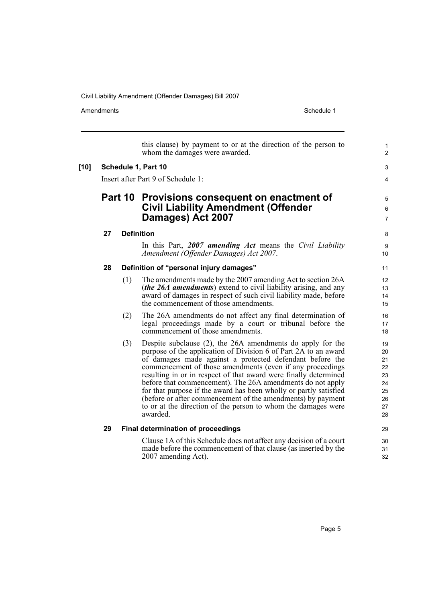Amendments Schedule 1

|        |                                    |     | this clause) by payment to or at the direction of the person to<br>whom the damages were awarded.                                                                                                                                                                                                                                                                                                                                                                                                                                                                                                         | $\mathbf{1}$<br>$\overline{2}$                           |  |
|--------|------------------------------------|-----|-----------------------------------------------------------------------------------------------------------------------------------------------------------------------------------------------------------------------------------------------------------------------------------------------------------------------------------------------------------------------------------------------------------------------------------------------------------------------------------------------------------------------------------------------------------------------------------------------------------|----------------------------------------------------------|--|
| $[10]$ | Schedule 1, Part 10                |     |                                                                                                                                                                                                                                                                                                                                                                                                                                                                                                                                                                                                           |                                                          |  |
|        | Insert after Part 9 of Schedule 1: |     |                                                                                                                                                                                                                                                                                                                                                                                                                                                                                                                                                                                                           |                                                          |  |
|        |                                    |     | Part 10 Provisions consequent on enactment of<br><b>Civil Liability Amendment (Offender</b><br>Damages) Act 2007                                                                                                                                                                                                                                                                                                                                                                                                                                                                                          | 5<br>6<br>$\overline{7}$                                 |  |
|        | 27                                 |     | <b>Definition</b>                                                                                                                                                                                                                                                                                                                                                                                                                                                                                                                                                                                         | 8                                                        |  |
|        |                                    |     | In this Part, 2007 amending Act means the Civil Liability<br>Amendment (Offender Damages) Act 2007.                                                                                                                                                                                                                                                                                                                                                                                                                                                                                                       | $\boldsymbol{9}$<br>10                                   |  |
|        | 28                                 |     | Definition of "personal injury damages"                                                                                                                                                                                                                                                                                                                                                                                                                                                                                                                                                                   | 11                                                       |  |
|        |                                    | (1) | The amendments made by the 2007 amending Act to section 26A<br><i>(the 26A amendments)</i> extend to civil liability arising, and any<br>award of damages in respect of such civil liability made, before<br>the commencement of those amendments.                                                                                                                                                                                                                                                                                                                                                        | 12<br>13<br>14<br>15                                     |  |
|        |                                    | (2) | The 26A amendments do not affect any final determination of<br>legal proceedings made by a court or tribunal before the<br>commencement of those amendments.                                                                                                                                                                                                                                                                                                                                                                                                                                              | 16<br>17<br>18                                           |  |
|        |                                    | (3) | Despite subclause (2), the 26A amendments do apply for the<br>purpose of the application of Division 6 of Part 2A to an award<br>of damages made against a protected defendant before the<br>commencement of those amendments (even if any proceedings<br>resulting in or in respect of that award were finally determined<br>before that commencement). The 26A amendments do not apply<br>for that purpose if the award has been wholly or partly satisfied<br>(before or after commencement of the amendments) by payment<br>to or at the direction of the person to whom the damages were<br>awarded. | 19<br>20<br>21<br>22<br>23<br>24<br>25<br>26<br>27<br>28 |  |
|        | 29                                 |     | Final determination of proceedings                                                                                                                                                                                                                                                                                                                                                                                                                                                                                                                                                                        | 29                                                       |  |
|        |                                    |     | Clause 1A of this Schedule does not affect any decision of a court<br>made before the commencement of that clause (as inserted by the<br>2007 amending Act).                                                                                                                                                                                                                                                                                                                                                                                                                                              | 30<br>31<br>32                                           |  |